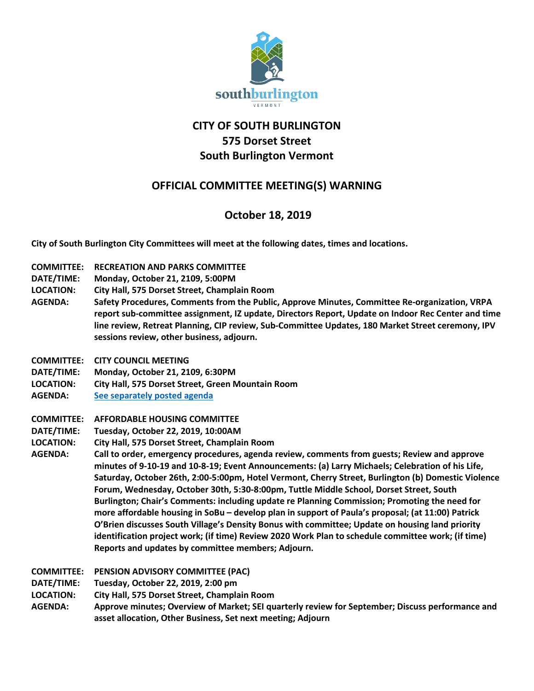

# **CITY OF SOUTH BURLINGTON 575 Dorset Street South Burlington Vermont**

## **OFFICIAL COMMITTEE MEETING(S) WARNING**

## **October 18, 2019**

**City of South Burlington City Committees will meet at the following dates, times and locations.** 

- **COMMITTEE: RECREATION AND PARKS COMMITTEE**
- **DATE/TIME: Monday, October 21, 2109, 5:00PM**
- **LOCATION: City Hall, 575 Dorset Street, Champlain Room**
- **AGENDA: Safety Procedures, Comments from the Public, Approve Minutes, Committee Re-organization, VRPA report sub-committee assignment, IZ update, Directors Report, Update on Indoor Rec Center and time line review, Retreat Planning, CIP review, Sub-Committee Updates, 180 Market Street ceremony, IPV sessions review, other business, adjourn.**
- **COMMITTEE: CITY COUNCIL MEETING**
- **DATE/TIME: Monday, October 21, 2109, 6:30PM**
- **LOCATION: City Hall, 575 Dorset Street, Green Mountain Room**
- **AGENDA: [See separately posted agenda](http://sbvt-records.info/WebLink/Browse.aspx?id=40460&dbid=0&repo=sburl)**
- **COMMITTEE: AFFORDABLE HOUSING COMMITTEE**
- **DATE/TIME: Tuesday, October 22, 2019, 10:00AM**
- **LOCATION: City Hall, 575 Dorset Street, Champlain Room**
- **AGENDA: Call to order, emergency procedures, agenda review, comments from guests; Review and approve minutes of 9-10-19 and 10-8-19; Event Announcements: (a) Larry Michaels; Celebration of his Life, Saturday, October 26th, 2:00-5:00pm, Hotel Vermont, Cherry Street, Burlington (b) Domestic Violence Forum, Wednesday, October 30th, 5:30-8:00pm, Tuttle Middle School, Dorset Street, South Burlington; Chair's Comments: including update re Planning Commission; Promoting the need for more affordable housing in SoBu – develop plan in support of Paula's proposal; (at 11:00) Patrick O'Brien discusses South Village's Density Bonus with committee; Update on housing land priority identification project work; (if time) Review 2020 Work Plan to schedule committee work; (if time) Reports and updates by committee members; Adjourn.**
- **COMMITTEE: PENSION ADVISORY COMMITTEE (PAC)**
- **DATE/TIME: Tuesday, October 22, 2019, 2:00 pm**
- **LOCATION: City Hall, 575 Dorset Street, Champlain Room**
- **AGENDA: Approve minutes; Overview of Market; SEI quarterly review for September; Discuss performance and asset allocation, Other Business, Set next meeting; Adjourn**